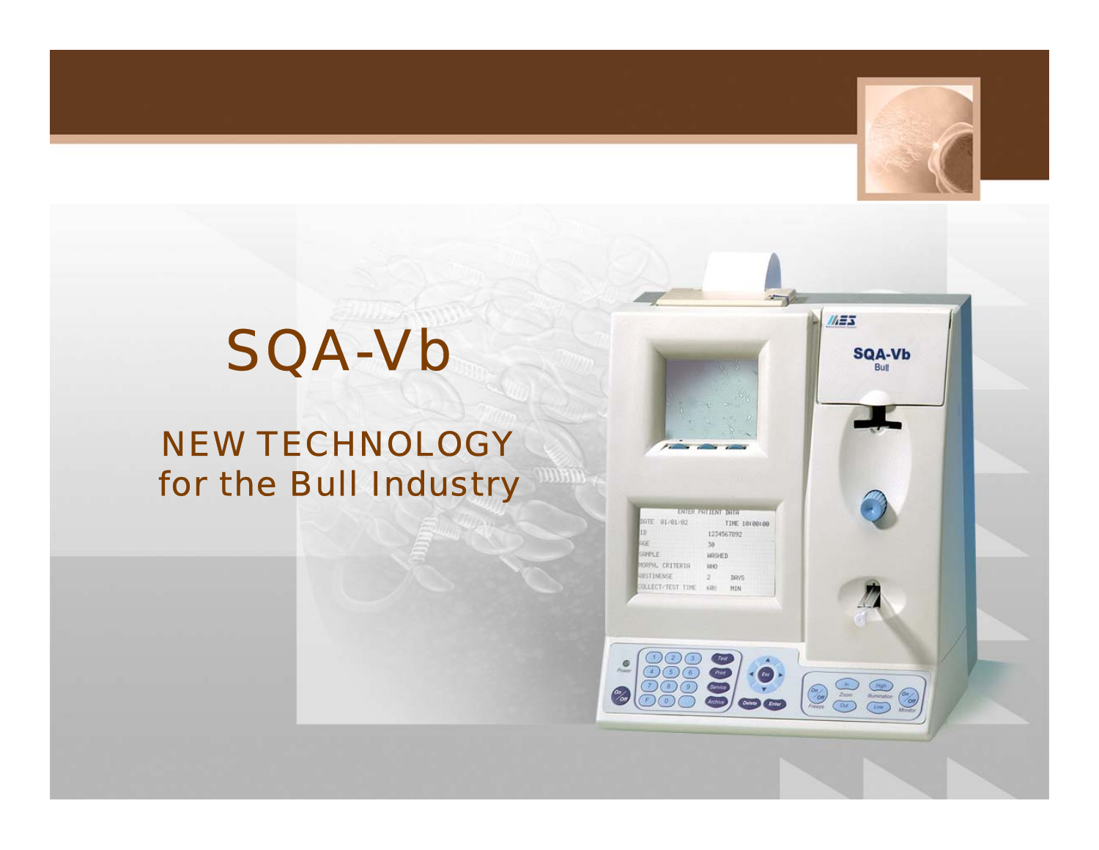

 $M = 3$ 

## **RANGE AND** SQA-Vb

## NEW TECHNOLOGY for the Bull Industry

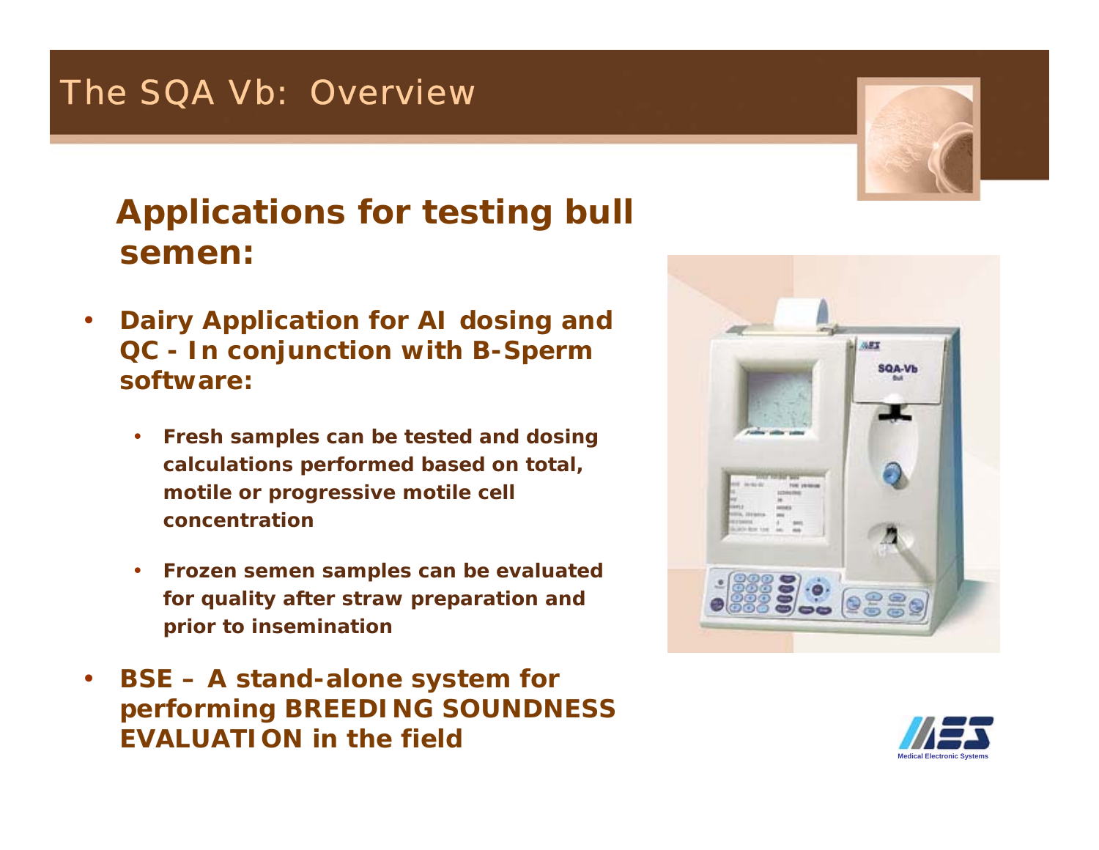## **Applications for testing bull semen:**

- • **Dairy Application for AI dosing and QC - In conjunction with B-Sperm software:**
	- • **Fresh samples can be tested and dosing calculations performed based on total, motile or progressive motile cell concentration**
	- • **Frozen semen samples can be evaluated for quality after straw preparation and prior to insemination**
- • **BSE – A stand-alone system for performing BREEDING SOUNDNESS EVALUATION in the field**





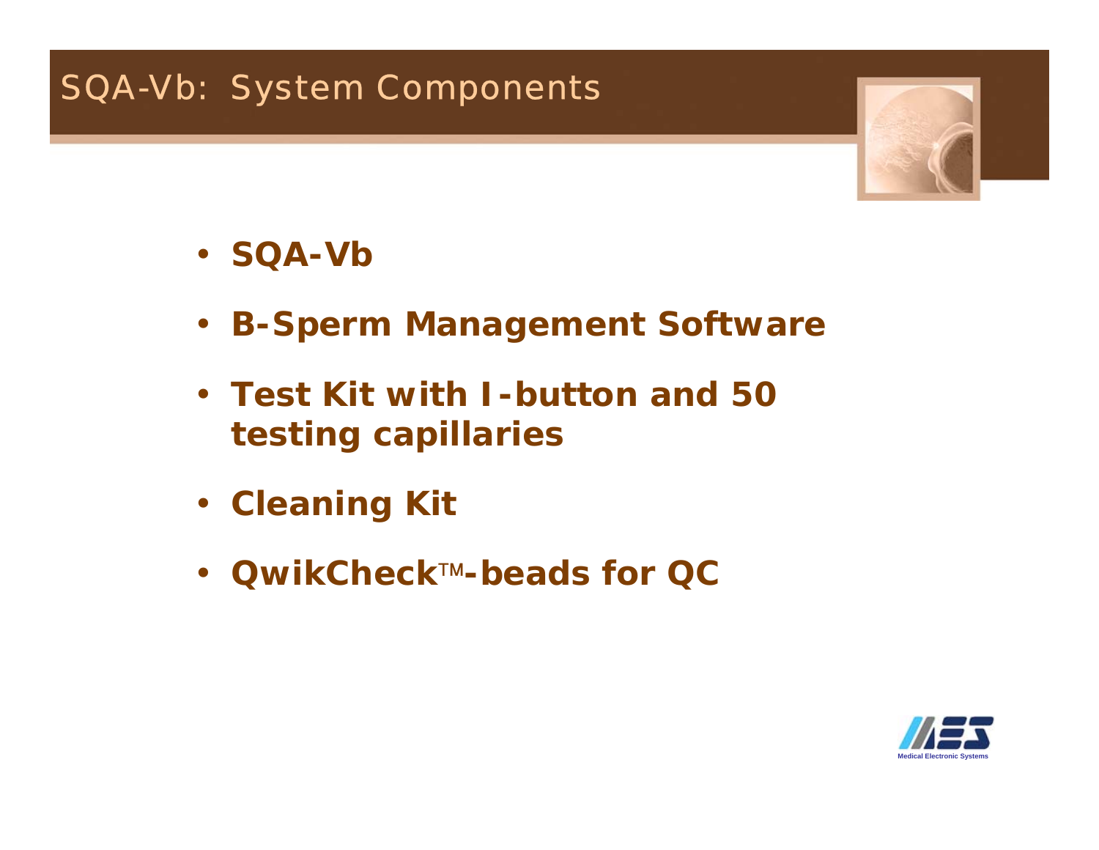

- **SQA-Vb**
- **B-Sperm Management Software**
- **Test Kit with I-button and 50 testing capillaries**
- **Cleaning Kit**
- **QwikCheck-beads for QC**

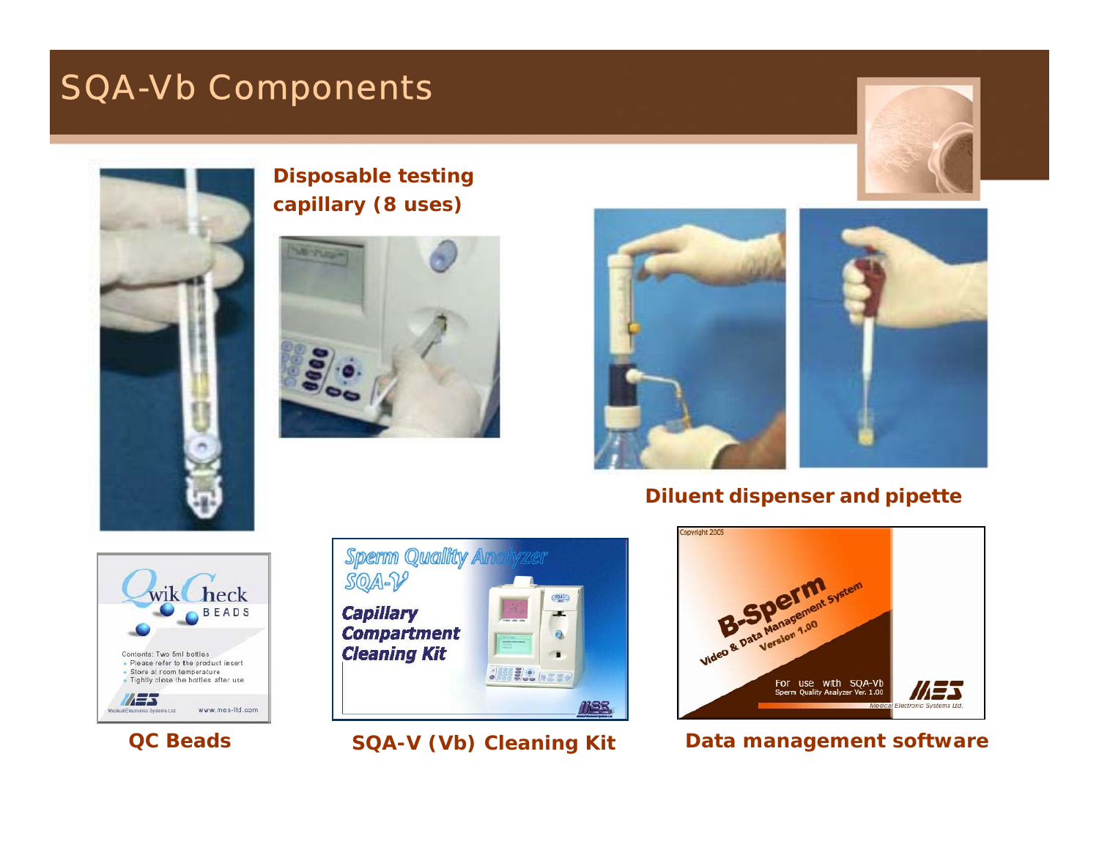### SQA-Vb Components





### **Disposable testing capillary (8 uses)**





#### **Diluent dispenser and pipette**



**QC Beads**





#### **SQA-V (Vb) Cleaning Kit Data management software**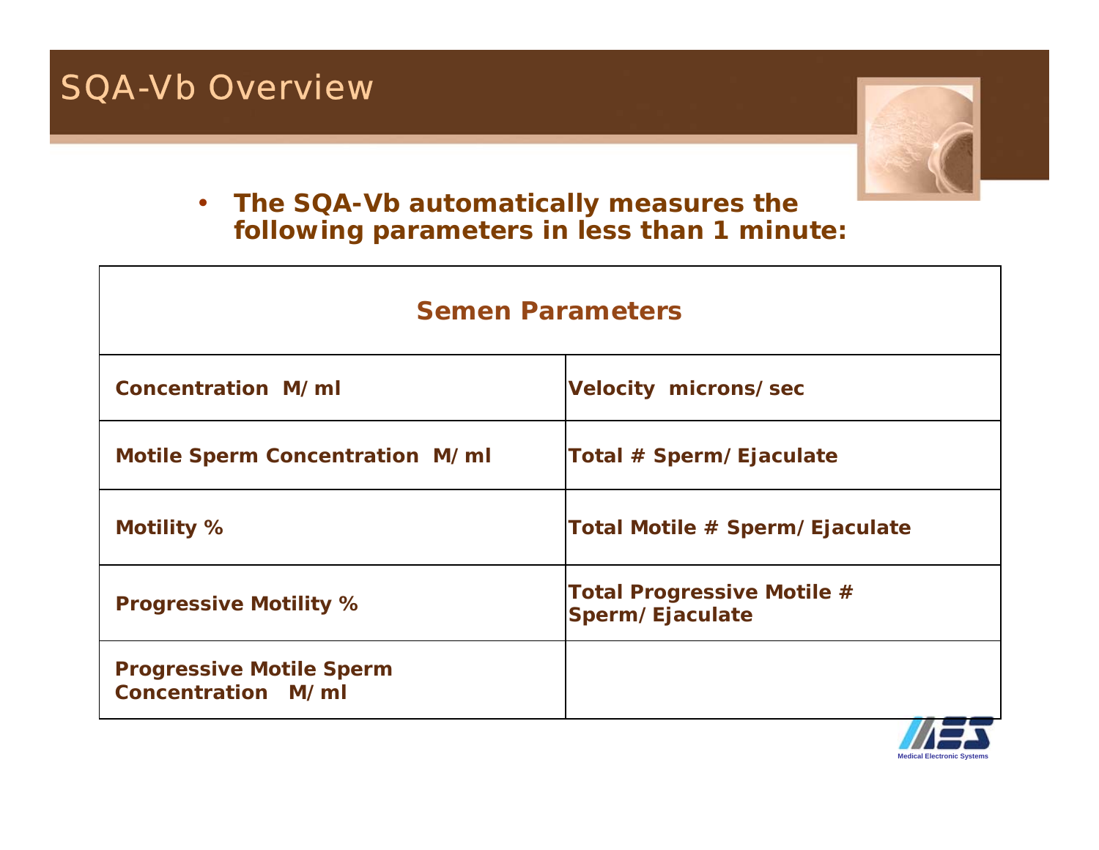### SQA-Vb Overview



### • **The SQA-Vb automatically measures the following parameters in less than 1 minute:**

| <b>Semen Parameters</b>                               |                                                      |  |  |  |  |
|-------------------------------------------------------|------------------------------------------------------|--|--|--|--|
| Concentration M/ml                                    | <b>Velocity microns/sec</b>                          |  |  |  |  |
| <b>Motile Sperm Concentration M/ml</b>                | Total # Sperm/Ejaculate                              |  |  |  |  |
| <b>Motility %</b>                                     | Total Motile # Sperm/Ejaculate                       |  |  |  |  |
| <b>Progressive Motility %</b>                         | <b>Total Progressive Motile #</b><br>Sperm/Ejaculate |  |  |  |  |
| <b>Progressive Motile Sperm</b><br>Concentration M/ml |                                                      |  |  |  |  |

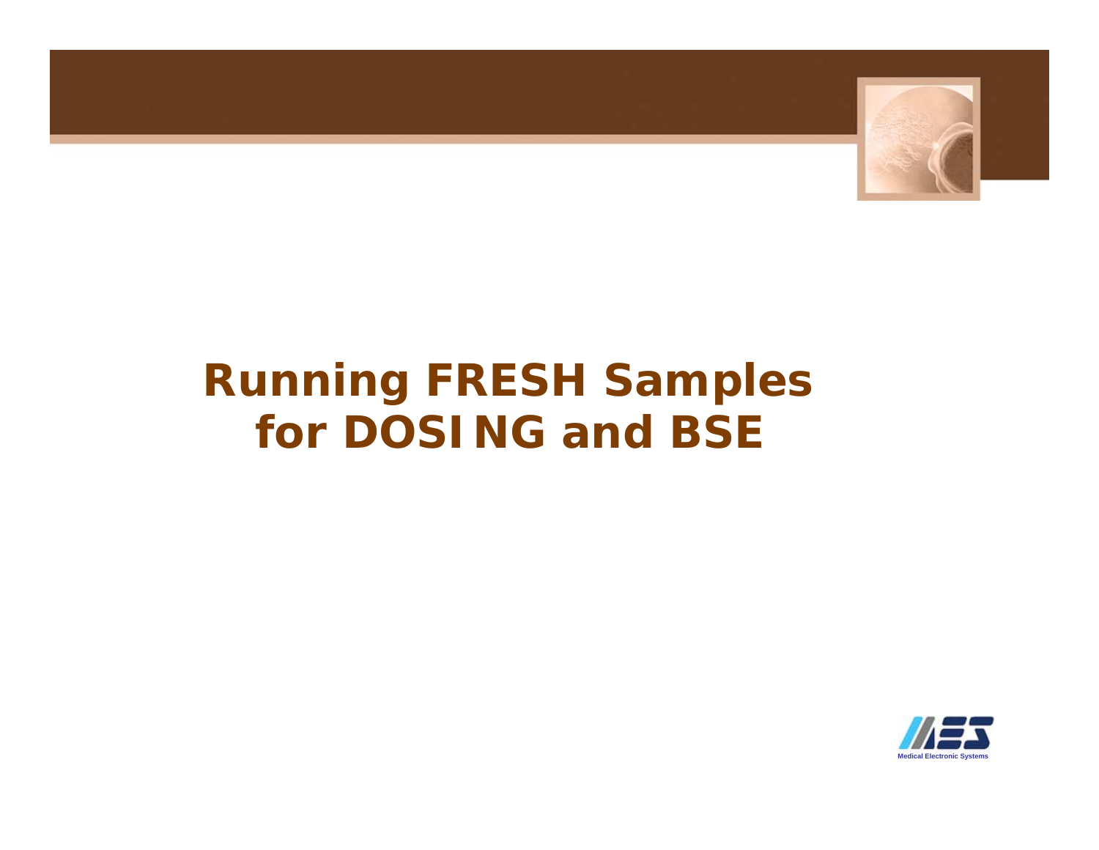

## **Running FRESH Samples for DOSING and BSE**

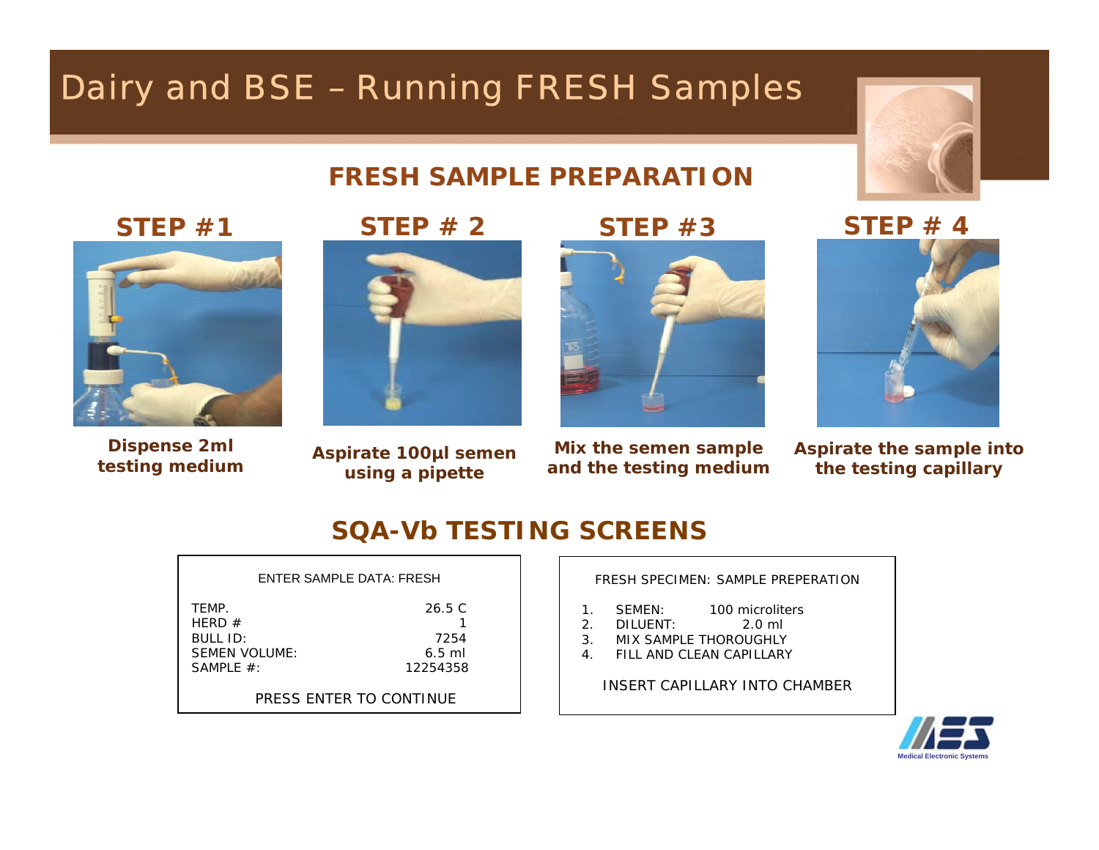## Dairy and BSE – Running FRESH Samples



### **FRESH SAMPLE PREPARATION**

**STEP #1**



**Dispense 2ml testing medium**





**Aspirate 100µl semen using a pipette**

**STEP #3**



**Mix the semen sample and the testing medium** **STEP # 4**



**Aspirate the sample into the testing capillary**

### **SQA-Vb TESTING SCREENS**

#### ENTER SAMPLE DATA: FRESH

| TFMP.         | 26.5 C   |
|---------------|----------|
| HFRD $#$      |          |
| BIIIID:       | 7254     |
| SEMEN VOLUME: | $6.5$ ml |
| SAMPLE $#$ :  | 12254358 |
|               |          |

PRESS ENTER TO CONTINUE

FRESH SPECIMEN: SAMPLE PREPERATION

- 1. SEMEN: 100 microliters
- 2. DILUENT: 2.0 ml
- 3. MIX SAMPLE THOROUGHLY
- 4. FILL AND CLEAN CAPILLARY

INSERT CAPILLARY INTO CHAMBER

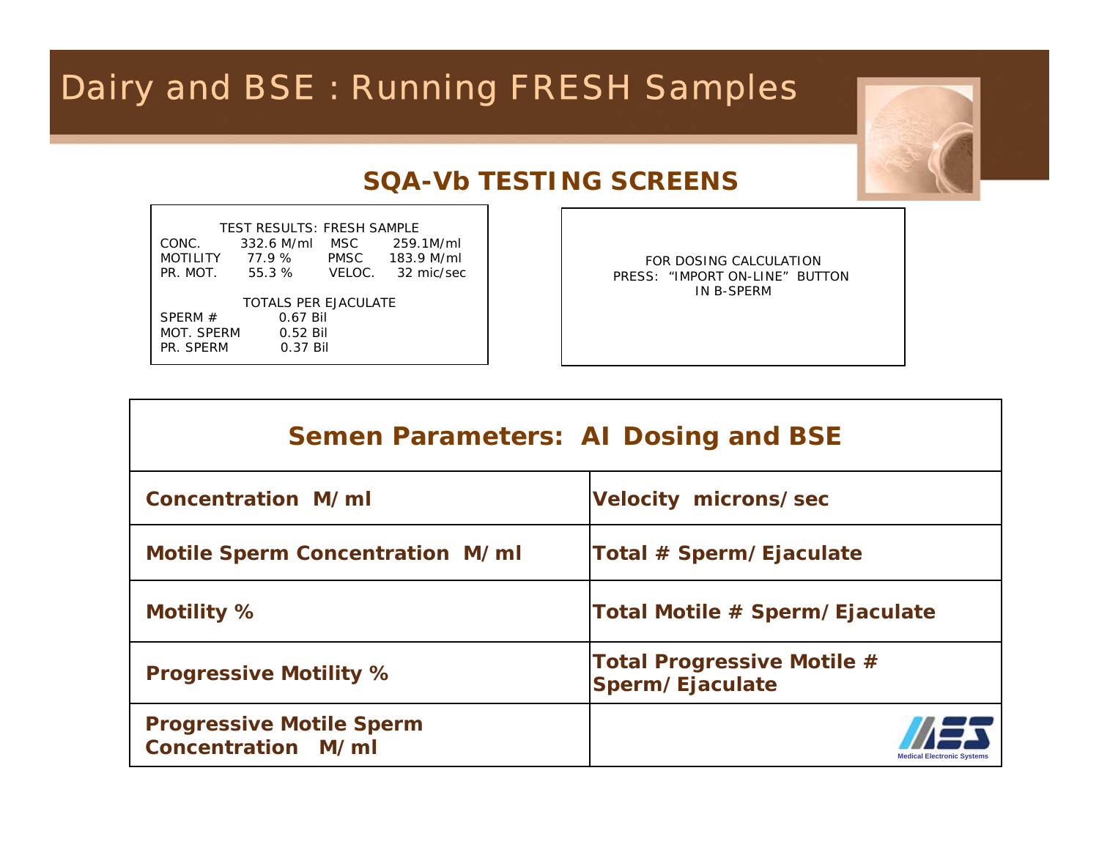## Dairy and BSE : Running FRESH Samples



### **SQA-Vb TESTING SCREENS**

| CONC.<br>PR. MOT.           | <b>TEST RESULTS: FRESH SAMPLE</b><br>332.6 M/ml<br>MOTILITY 77.9 %<br>55.3 % | MSC | 259.1M/ml<br>PMSC 183.9 M/ml<br>VELOC. 32 mic/sec |  |  |  |
|-----------------------------|------------------------------------------------------------------------------|-----|---------------------------------------------------|--|--|--|
| <b>TOTALS PER EJACULATE</b> |                                                                              |     |                                                   |  |  |  |
| SPERM $#$                   | 0.67 Bil                                                                     |     |                                                   |  |  |  |
| MOT. SPERM                  | $0.52$ Bil                                                                   |     |                                                   |  |  |  |
| PR. SPFRM                   | $0.37$ Bil                                                                   |     |                                                   |  |  |  |

FOR DOSING CALCULATIONPRESS: "IMPORT ON-LINE" BUTTON IN B-SPERM

| <b>Semen Parameters: AI Dosing and BSE</b>                   |                                                      |  |  |  |  |
|--------------------------------------------------------------|------------------------------------------------------|--|--|--|--|
| Concentration M/ml                                           | <b>Velocity microns/sec</b>                          |  |  |  |  |
| <b>Motile Sperm Concentration M/ml</b>                       | Total # Sperm/Ejaculate                              |  |  |  |  |
| Motility %                                                   | Total Motile # Sperm/Ejaculate                       |  |  |  |  |
| <b>Progressive Motility %</b>                                | <b>Total Progressive Motile #</b><br>Sperm/Ejaculate |  |  |  |  |
| <b>Progressive Motile Sperm</b><br><b>Concentration M/ml</b> | ledical Electronic System                            |  |  |  |  |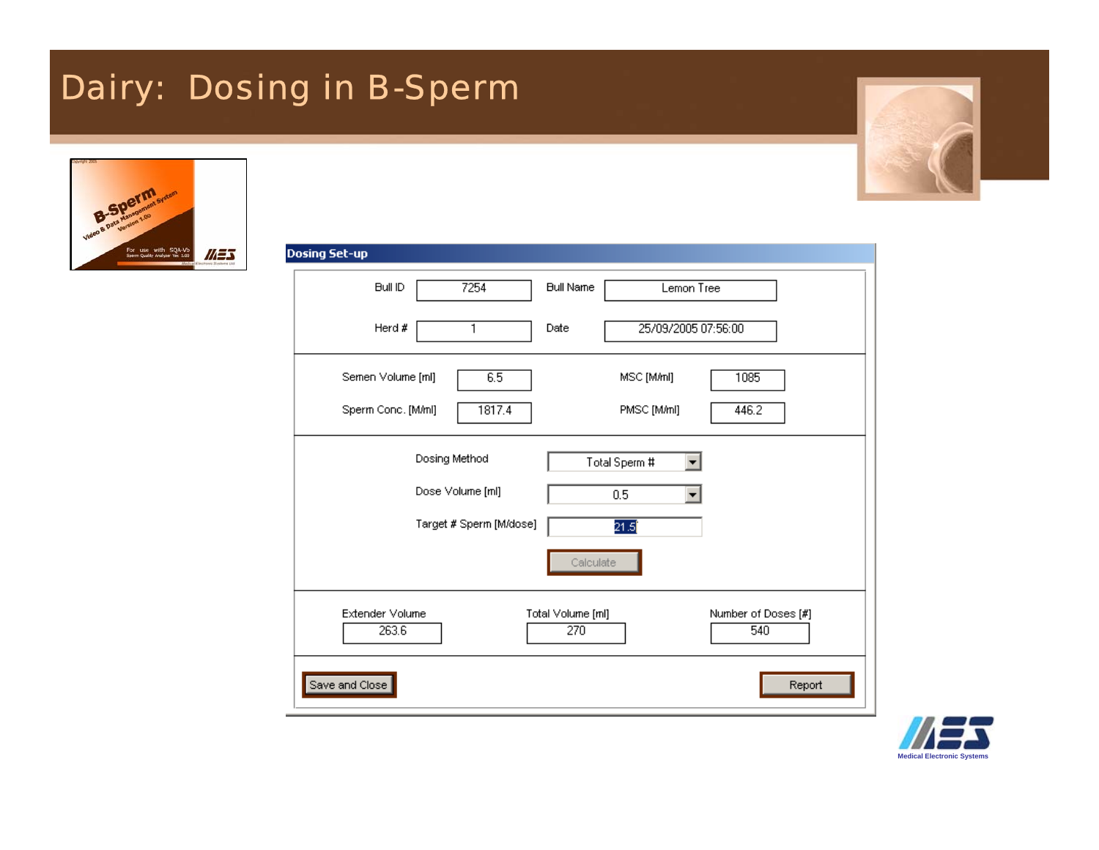## Dairy: Dosing in B-Sperm



| <b>Dosing Set-up</b>                                     |                                                        |
|----------------------------------------------------------|--------------------------------------------------------|
| 7254<br><b>Bull ID</b>                                   | <b>Bull Name</b><br>Lemon Tree                         |
| Herd #<br>1                                              | 25/09/2005 07:56:00<br>Date                            |
| Semen Volume [ml]<br>6.5<br>Sperm Conc. [M/ml]<br>1817.4 | MSC [M/ml]<br>1085<br>PMSC [M/ml]<br>446.2             |
| Dosing Method                                            | Total Sperm #                                          |
| Dose Volume [ml]                                         | 0.5<br>$\blacktriangledown$                            |
| Target # Sperm [M/dose]                                  | 21.5<br>Calculate                                      |
| Extender Volume<br>263.6                                 | Number of Doses [#]<br>Total Volume [ml]<br>270<br>540 |
| Save and Close                                           | Report                                                 |

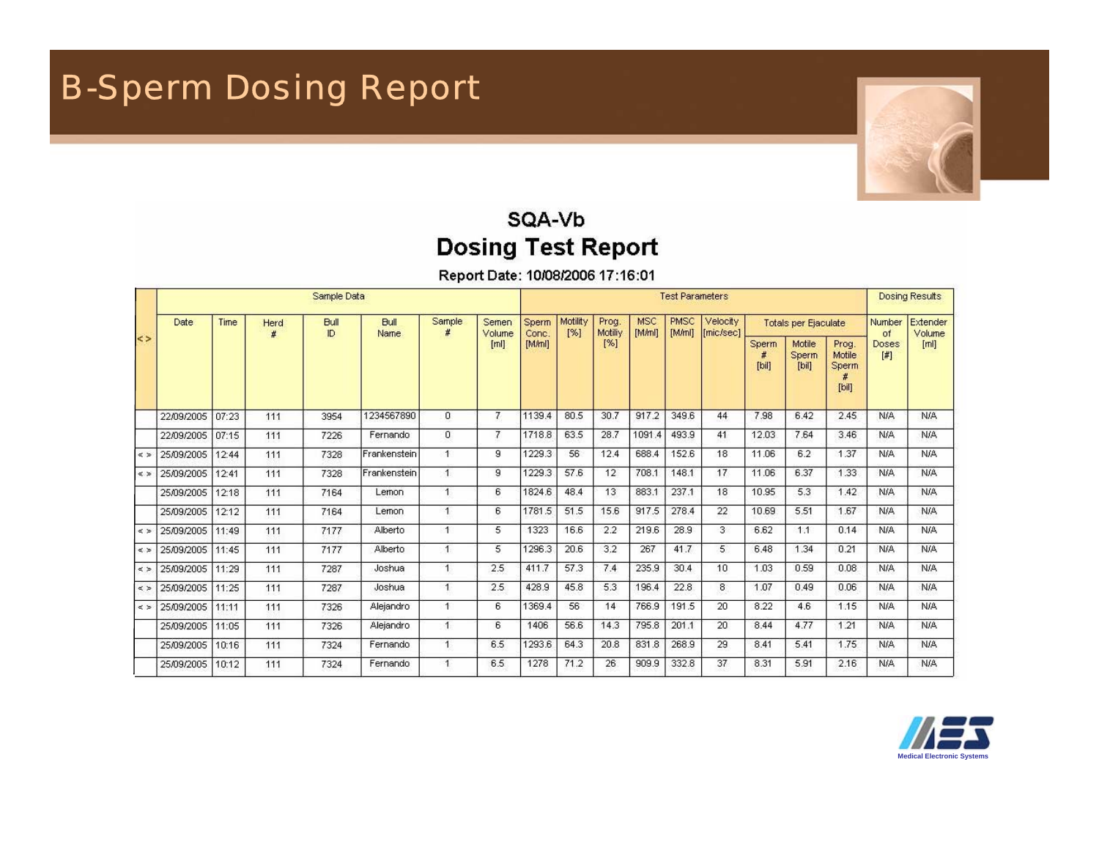

### SQA-Vb **Dosing Test Report**

Report Date: 10/08/2006 17:16:01

|                 | Sample Data |       |      |                    |                      |                      | <b>Test Parameters</b> |                |                 |                  |                      | <b>Dosing Results</b> |                       |                             |                        |                                         |              |     |
|-----------------|-------------|-------|------|--------------------|----------------------|----------------------|------------------------|----------------|-----------------|------------------|----------------------|-----------------------|-----------------------|-----------------------------|------------------------|-----------------------------------------|--------------|-----|
|                 | Date        | Time  | Herd | <b>Bull</b><br>ID. | <b>Bull</b><br>Name  | Sample               | Semen<br>Volume        | Sperm<br>Conc. | Motility<br>[%] | Prog.<br>Motiliy | <b>MSC</b><br>[M/ml] | <b>PMSC</b><br>[M/ml] | Velocity<br>[mic/sec] | <b>Totals per Ejaculate</b> |                        | Extender<br>Number<br>Volume<br>of      |              |     |
| $\leq$          |             |       |      |                    |                      |                      | [m]                    | [M/ml]         |                 | [%]              |                      |                       |                       | Sperm<br>[bil]              | Motile<br>Sperm<br>[b] | Prog.<br>Motile<br>Sperm<br>$[$ bil $]$ | Doses<br>$[$ | [m] |
|                 | 22/09/2005  | 07:23 | 111  | 3954               | 1234567890           | $\overline{0}$       | $\mathcal{I}$          | 1139.4         | 80.5            | 30.7             | 917.2                | 349.6                 | 44                    | 7.98                        | 6.42                   | 2.45                                    | <b>N/A</b>   | N/A |
|                 | 22/09/2005  | 07:15 | 111  | 7226               | Fernando             | $\mathbf{0}$         | 7                      | 1718.8         | 63.5            | 28.7             | 1091.4               | 493.9                 | 41                    | 12.03                       | 7.64                   | 3.46                                    | N/A          | N/A |
| $\leq$ $>$      | 25/09/2005  | 12:44 | 111  | 7328               | Frankenstein         | $\uparrow$           | 9                      | 1229.3         | 56              | 12.4             | 688.4                | 152.6                 | 18                    | 11.06                       | 6.2                    | 1.37                                    | N/A          | N/A |
| $\leqslant$ $>$ | 25/09/2005  | 12:41 | 111  | 7328               | <b>IFrankenstein</b> | $\mathbf{1}$         | 9                      | 1229.3         | 57.6            | 12               | 708.1                | 148.1                 | 17                    | 11.06                       | 6.37                   | 1.33                                    | N/A          | N/A |
|                 | 25/09/2005  | 12:18 | 111  | 7164               | Lemon                | $\mathbf{1}$         | 6                      | 1824.6         | 48.4            | 13               | 883.1                | 237.1                 | 18                    | 10.95                       | 5.3                    | 1.42                                    | <b>N/A</b>   | N/A |
|                 | 25/09/2005  | 12:12 | 111  | 7164               | Lemon                | $\mathbf{1}$         | 6                      | 1781.5         | 51.5            | 15.6             | 917.5                | 278.4                 | 22                    | 10.69                       | 5.51                   | 1.67                                    | N/A          | N/A |
| $\leq$ $>$      | 25/09/2005  | 11:49 | 111  | 7177               | Alberto              | $\mathbf{1}$         | 5                      | 1323           | 16.6            | 2.2              | 219.6                | 28.9                  | 3                     | 6.62                        | 1.1                    | 0.14                                    | N/A          | N/A |
| $\leqslant$ $>$ | 25/09/2005  | 11:45 | 111  | 7177               | Alberto              | $\blacktriangleleft$ | 5                      | 1296.3         | 20.6            | 3.2              | 267                  | 41.7                  | 5                     | 6.48                        | 1.34                   | 0.21                                    | N/A          | N/A |
| $\leq$ $>$      | 25/09/2005  | 11:29 | 111  | 7287               | Joshua               | $\mathbf{1}$         | 2.5                    | 411.7          | 57.3            | 7.4              | 235.9                | 30.4                  | 10                    | 1.03                        | 0.59                   | 0.08                                    | N/A          | N/A |
| $\leq$ $>$      | 25/09/2005  | 11:25 | 111  | 7287               | Joshua               | $\overline{1}$       | 2.5                    | 428.9          | 45.8            | 5.3              | 196.4                | 22.8                  | 8                     | 1.07                        | 0.49                   | 0.06                                    | <b>N/A</b>   | N/A |
| $\leq$ $>$      | 25/09/2005  | 11:11 | 111  | 7326               | Alejandro            | $\mathbf{1}$         | 6                      | 1369.4         | 56              | 14               | 766.9                | 191.5                 | 20                    | 8.22                        | 4.6                    | 1.15                                    | N/A          | N/A |
|                 | 25/09/2005  | 11:05 | 111  | 7326               | Alejandro            | $\mathbf{1}$         | 6                      | 1406           | 56.6            | 14.3             | 795.8                | 201.1                 | 20                    | 8.44                        | 4.77                   | 1.21                                    | N/A          | N/A |
|                 | 25/09/2005  | 10:16 | 111  | 7324               | Fernando             | $\mathbf{1}$         | 6.5                    | 1293.6         | 64.3            | 20.8             | 831.8                | 268.9                 | 29                    | 8.41                        | 5.41                   | 1.75                                    | <b>N/A</b>   | N/A |
|                 | 25/09/2005  | 10:12 | 111  | 7324               | Fernando             | 1                    | 6.5                    | 1278           | 71.2            | 26               | 909.9                | 332.8                 | 37                    | 8.31                        | 5.91                   | 2.16                                    | N/A          | N/A |

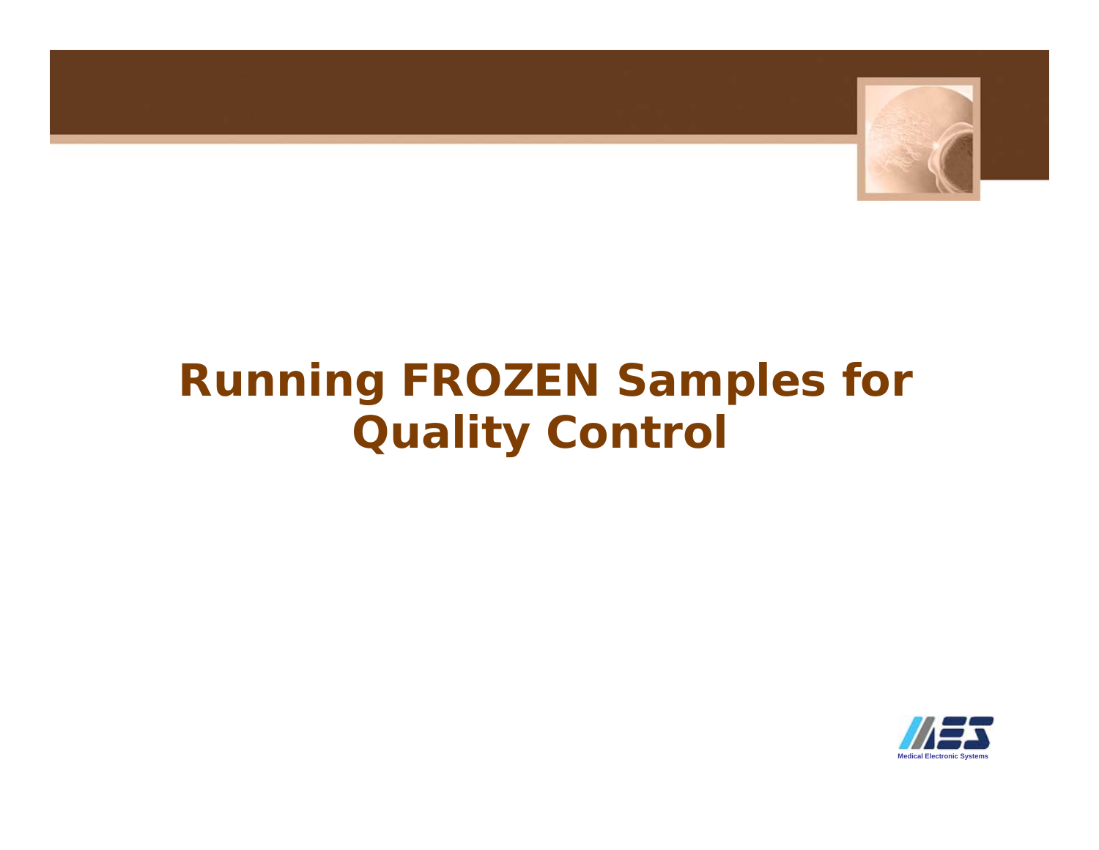

## **Running FROZEN Samples for Quality Control**

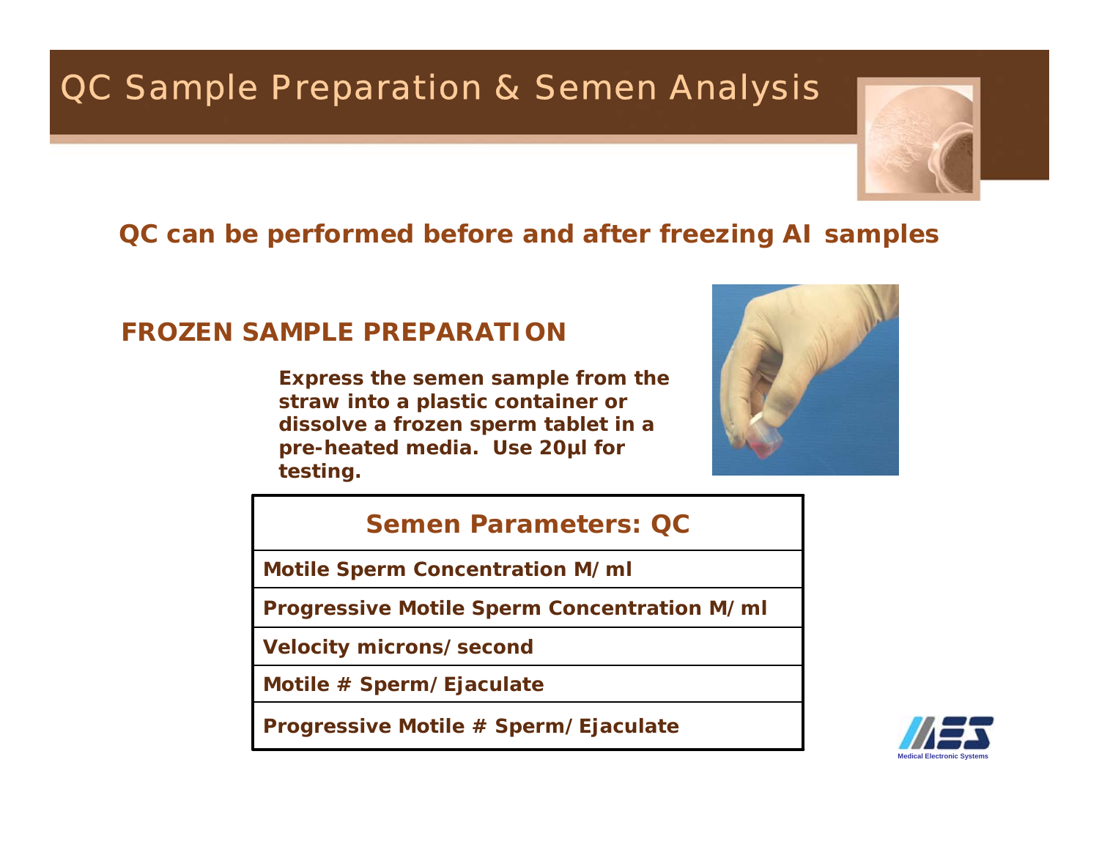## QC Sample Preparation & Semen Analysis



### **QC can be performed before and after freezing AI samples**

### **FROZEN SAMPLE PREPARATION**

**Express the semen sample from the straw into a plastic container or dissolve a frozen sperm tablet in a pre-heated media. Use 20µl for testing.** 



#### **Semen Parameters: QC**

**Motile Sperm Concentration M/ml**

**Progressive Motile Sperm Concentration M/ml**

**Velocity microns/second**

**Motile # Sperm/Ejaculate**

**Progressive Motile # Sperm/Ejaculate**

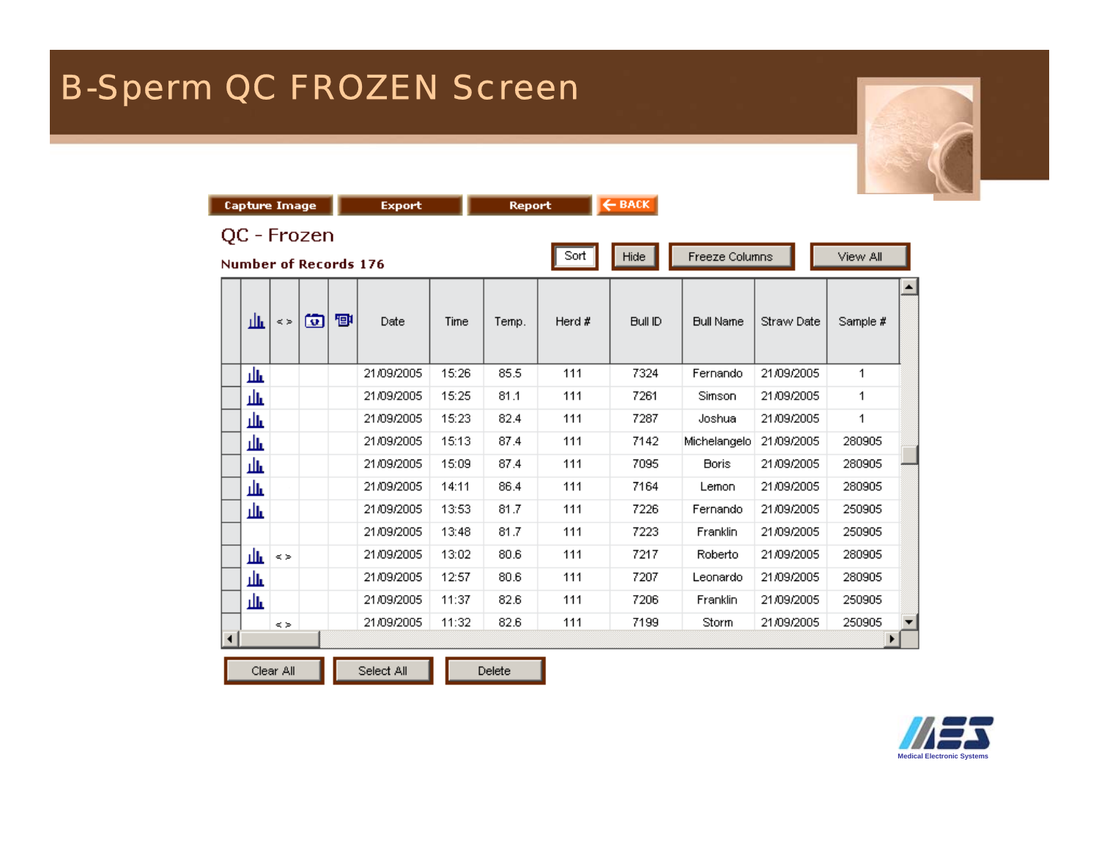## B-Sperm QC FROZEN Screen

|                      | <b>Capture Image</b>                 |            |   |   | <b>Export</b> |       | <b>Report</b> |        | $\leftarrow$ BACK |                  |            |          |  |
|----------------------|--------------------------------------|------------|---|---|---------------|-------|---------------|--------|-------------------|------------------|------------|----------|--|
|                      | QC - Frozen<br>Number of Records 176 |            |   |   |               |       |               | Sort   | Hide              | Freeze Columns   |            | View All |  |
|                      | 血                                    | $<$ $>$    | 囱 | 回 | Date          | Time  | Temp.         | Herd # | Bull ID           | <b>Bull Name</b> | Straw Date | Sample # |  |
|                      | 业                                    |            |   |   | 21/09/2005    | 15:26 | 85.5          | 111    | 7324              | Fernando         | 21/09/2005 | 1        |  |
|                      | 血                                    |            |   |   | 21/09/2005    | 15:25 | 81.1          | 111    | 7261              | Simson           | 21/09/2005 | 1        |  |
|                      | 业                                    |            |   |   | 21/09/2005    | 15:23 | 82.4          | 111    | 7287              | Joshua           | 21/09/2005 | 1        |  |
|                      | 血                                    |            |   |   | 21/09/2005    | 15:13 | 87.4          | 111    | 7142              | Michelangelo     | 21/09/2005 | 280905   |  |
|                      | 业                                    |            |   |   | 21/09/2005    | 15:09 | 87.4          | 111    | 7095              | <b>Boris</b>     | 21/09/2005 | 280905   |  |
|                      | 血                                    |            |   |   | 21/09/2005    | 14:11 | 86.4          | 111    | 7164              | Lemon            | 21/09/2005 | 280905   |  |
|                      | 血                                    |            |   |   | 21/09/2005    | 13:53 | 81.7          | 111    | 7226              | Fernando         | 21/09/2005 | 250905   |  |
|                      |                                      |            |   |   | 21/09/2005    | 13:48 | 81.7          | 111    | 7223              | Franklin         | 21/09/2005 | 250905   |  |
|                      | 业                                    | $<$ $>$    |   |   | 21/09/2005    | 13:02 | 80.6          | 111    | 7217              | Roberto          | 21/09/2005 | 280905   |  |
|                      | 血                                    |            |   |   | 21/09/2005    | 12:57 | 80.6          | 111    | 7207              | Leonardo         | 21/09/2005 | 280905   |  |
|                      | 血                                    |            |   |   | 21/09/2005    | 11:37 | 82.6          | 111    | 7206              | Franklin         | 21/09/2005 | 250905   |  |
| $\blacktriangleleft$ |                                      | $\leq$ $>$ |   |   | 21/09/2005    | 11:32 | 82.6          | 111    | 7199              | Storm            | 21/09/2005 | 250905   |  |
|                      |                                      | Clear All  |   |   | Select All    |       | Delete        |        |                   |                  |            |          |  |

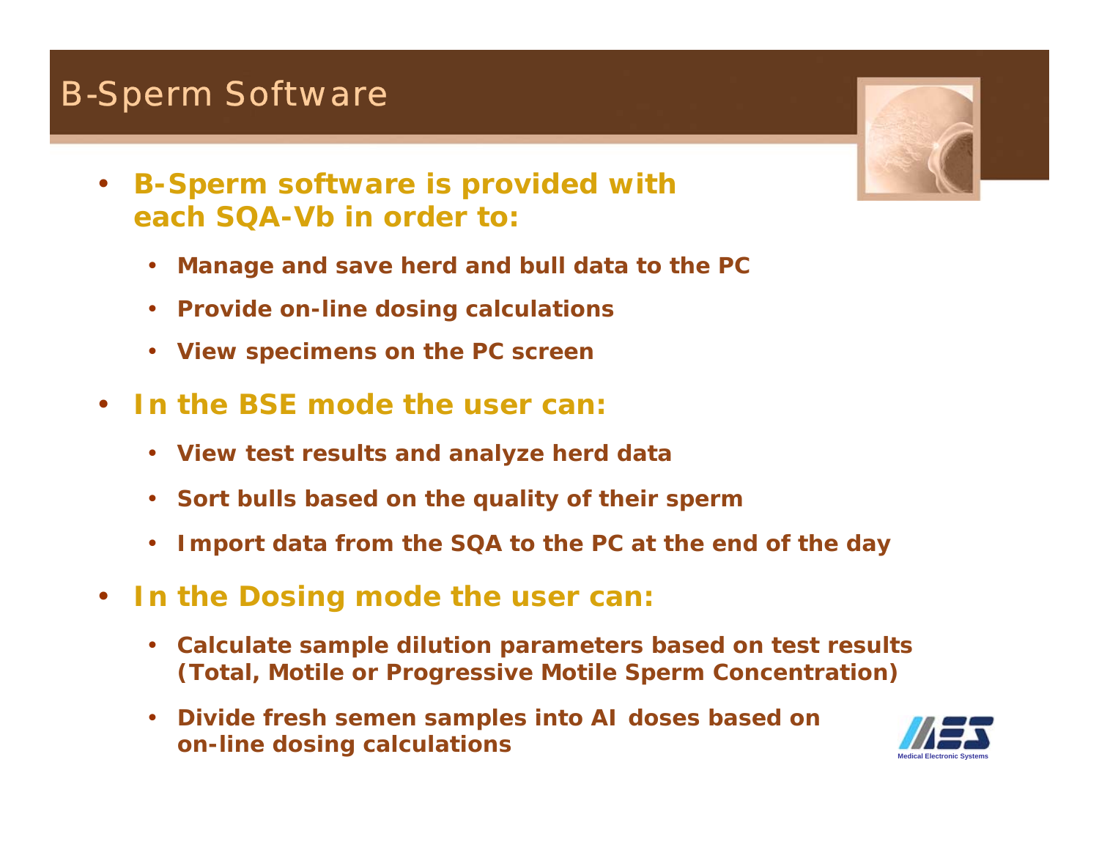## B-Sperm Software

- $\bullet$  **B-Sperm software is provided with each SQA-Vb in order to:**
	- $\bullet$ **Manage and save herd and bull data to the PC**
	- **Provide on-line dosing calculations**
	- $\bullet$ **View specimens on the PC screen**
- • **In the BSE mode the user can:**
	- **View test results and analyze herd data**
	- **Sort bulls based on the quality of their sperm**
	- $\bullet$ **Import data from the SQA to the PC at the end of the day**
- $\bullet$  **In the Dosing mode the user can:**
	- $\bullet$  **Calculate sample dilution parameters based on test results (Total, Motile or Progressive Motile Sperm Concentration)**
	- $\bullet$  **Divide fresh semen samples into AI doses based on on-line dosing calculations**



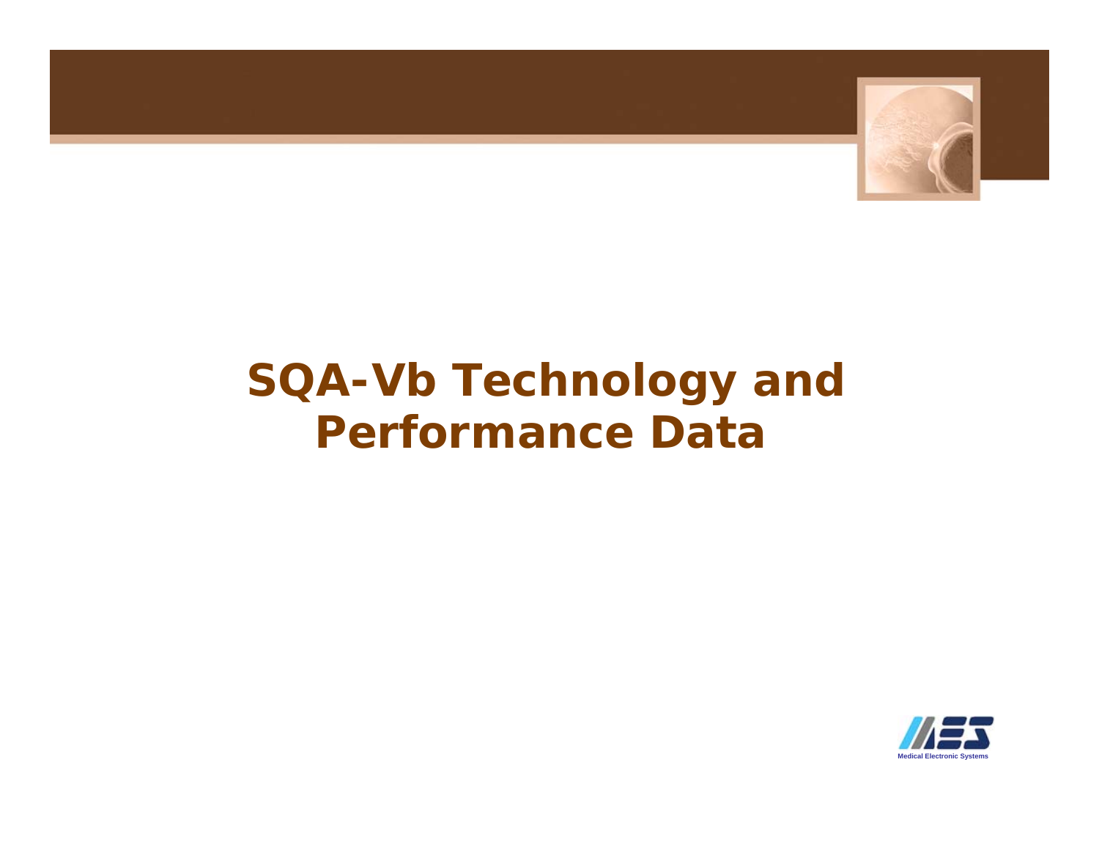

## **SQA-Vb Technology and Performance Data**

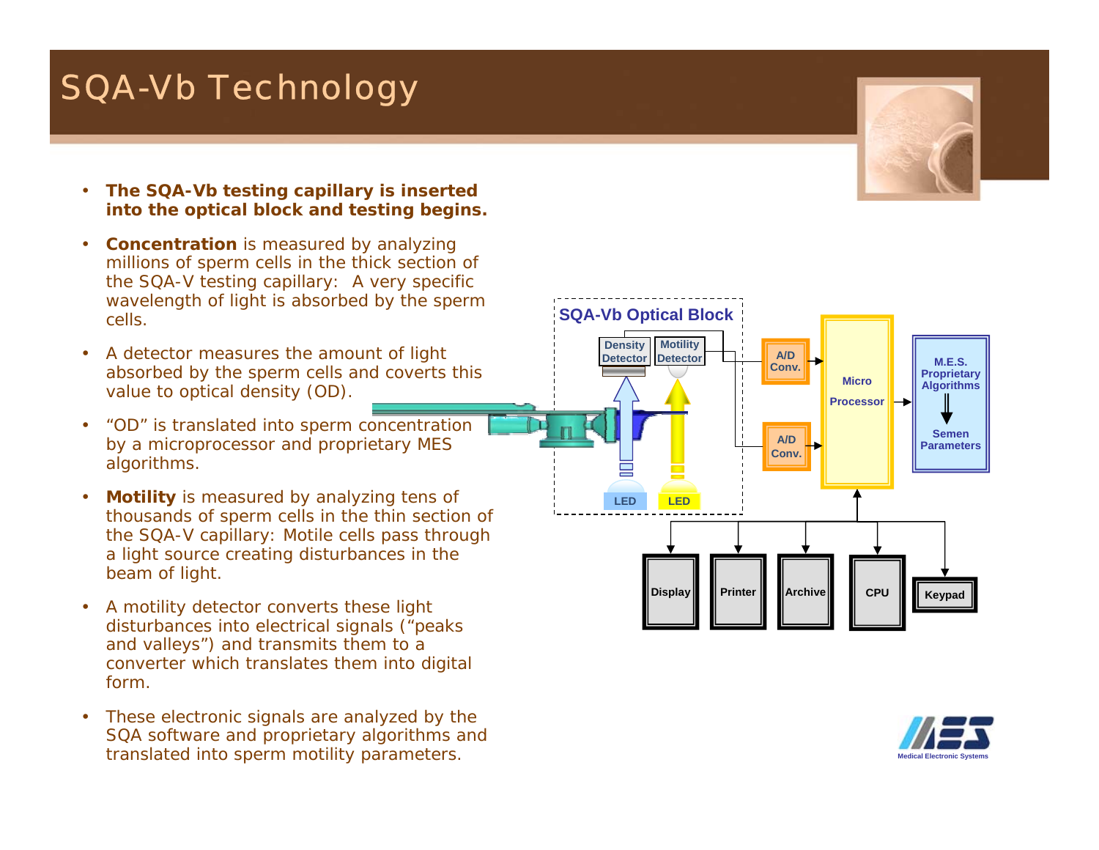## SQA-Vb Technology

- • **The SQA-Vb testing capillary is inserted into the optical block and testing begins.**
- •**Concentration** is measured by analyzing millions of sperm cells in the thick section of the SQA-V testing capillary: A very specific wavelength of light is absorbed by the sperm cells.
- • A detector measures the amount of light absorbed by the sperm cells and coverts this value to optical density (OD).
- • "OD" is translated into sperm concentration by a microprocessor and proprietary MES algorithms.
- • **Motility** is measured by analyzing tens of thousands of sperm cells in the thin section of the SQA-V capillary: Motile cells pass through a light source creating disturbances in the beam of light.
- • A motility detector converts these light disturbances into electrical signals ("peaks and valleys") and transmits them to a converter which translates them into digital form.
- • These electronic signals are analyzed by the SQA software and proprietary algorithms and translated into sperm motility parameters.





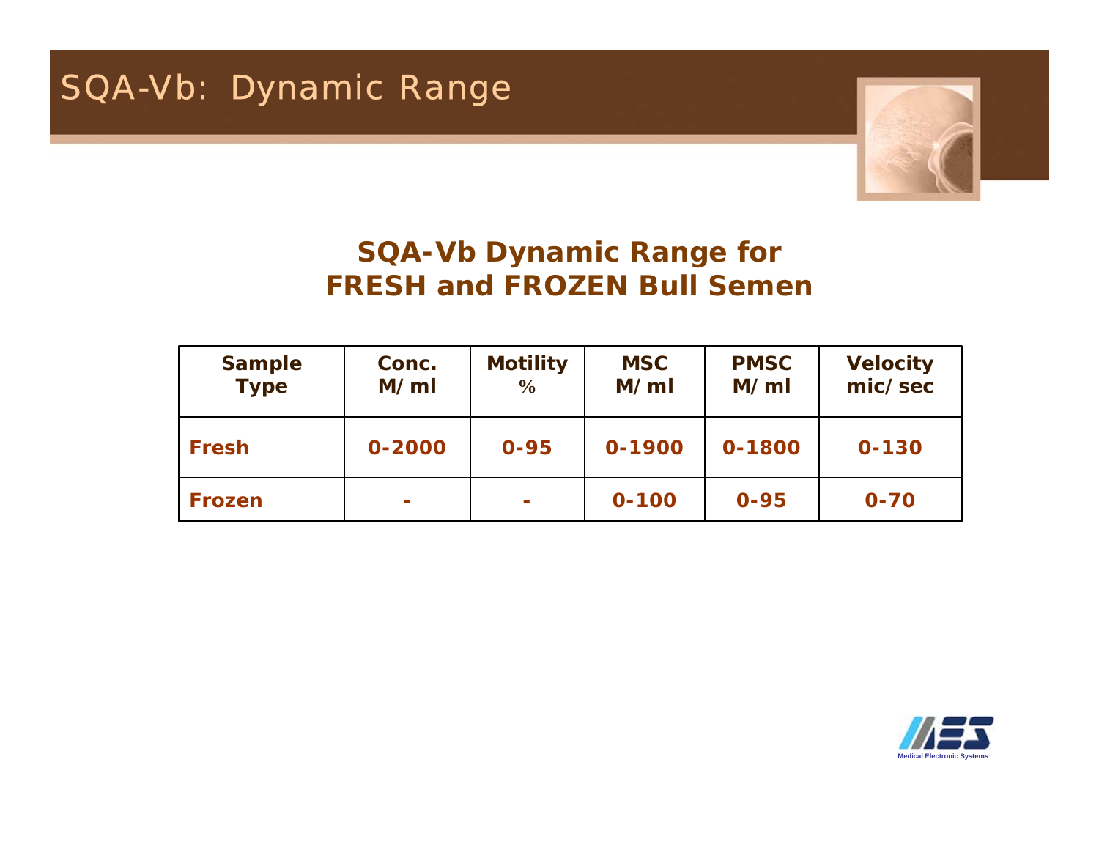

### **SQA-Vb Dynamic Range for FRESH and FROZEN Bull Semen**

| <b>Sample</b><br><b>Type</b> | Conc.<br>M/ml | <b>Motility</b><br>$\frac{6}{6}$ | <b>MSC</b><br>M/ml | <b>PMSC</b><br>M/ml | <b>Velocity</b><br>mic/sec |
|------------------------------|---------------|----------------------------------|--------------------|---------------------|----------------------------|
| <b>Fresh</b>                 | 0-2000        | $0 - 95$                         | 0-1900             | 0-1800              | $0 - 130$                  |
| <b>Frozen</b>                | ÷             | $\sim$                           | $0 - 100$          | $0 - 95$            | $0 - 70$                   |

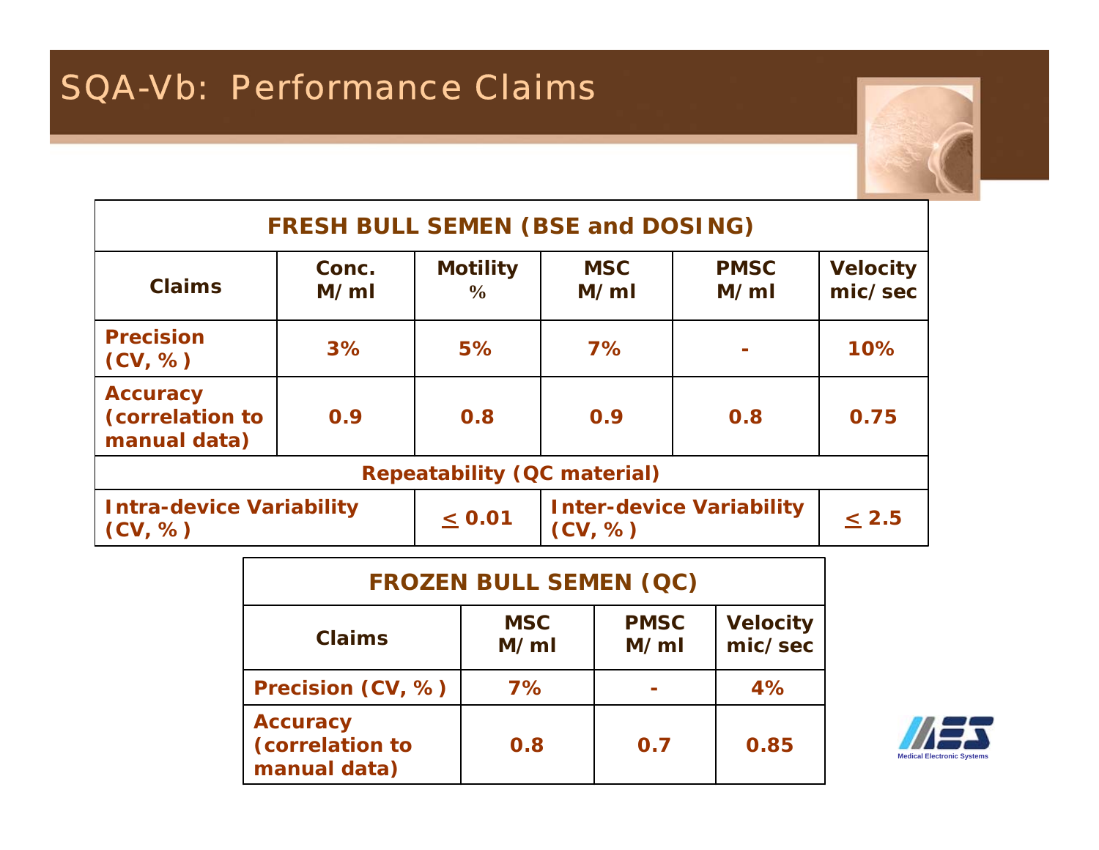

| <b>FRESH BULL SEMEN (BSE and DOSING)</b>           |               |                                  |                    |                                 |                            |  |
|----------------------------------------------------|---------------|----------------------------------|--------------------|---------------------------------|----------------------------|--|
| <b>Claims</b>                                      | Conc.<br>M/ml | <b>Motility</b><br>$\frac{6}{9}$ | <b>MSC</b><br>M/ml | <b>PMSC</b><br>M/ml             | <b>Velocity</b><br>mic/sec |  |
| <b>Precision</b><br>(CV, %)                        | 3%            | 5%                               | 7%                 |                                 | 10%                        |  |
| <b>Accuracy</b><br>(correlation to<br>manual data) | 0.9           | 0.8                              | 0.9                | 0.8                             | 0.75                       |  |
| <b>Repeatability (QC material)</b>                 |               |                                  |                    |                                 |                            |  |
| <b>Intra-device Variability</b><br>(CV, %)         |               | $\leq 0.01$                      | (CV, %)            | <b>Inter-device Variability</b> | $\leq 2.5$                 |  |

| <b>FROZEN BULL SEMEN (QC)</b>                      |                    |                     |                            |  |  |
|----------------------------------------------------|--------------------|---------------------|----------------------------|--|--|
| <b>Claims</b>                                      | <b>MSC</b><br>M/ml | <b>PMSC</b><br>M/ml | <b>Velocity</b><br>mic/sec |  |  |
| Precision (CV, %)                                  | 7%                 |                     | 4%                         |  |  |
| <b>Accuracy</b><br>(correlation to<br>manual data) | 0.8                | 0.7                 | 0.85                       |  |  |



٦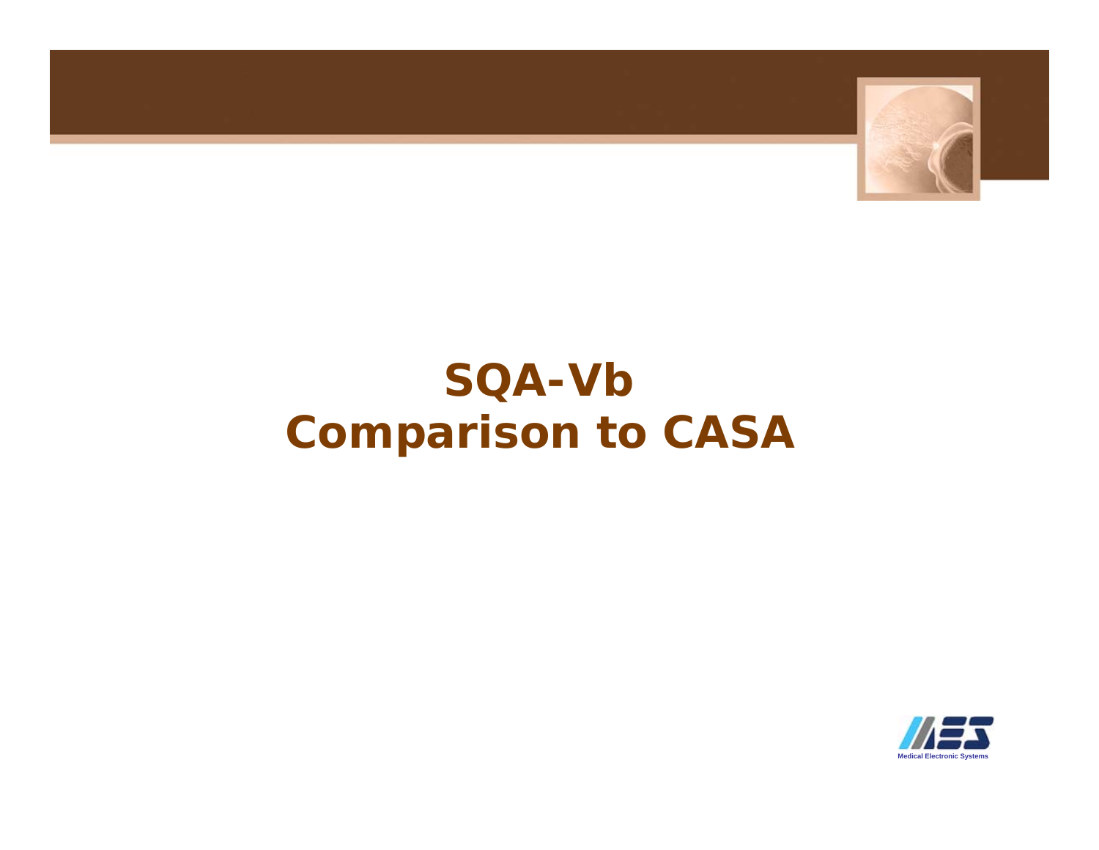

# **SQA-Vb Comparison to CASA**

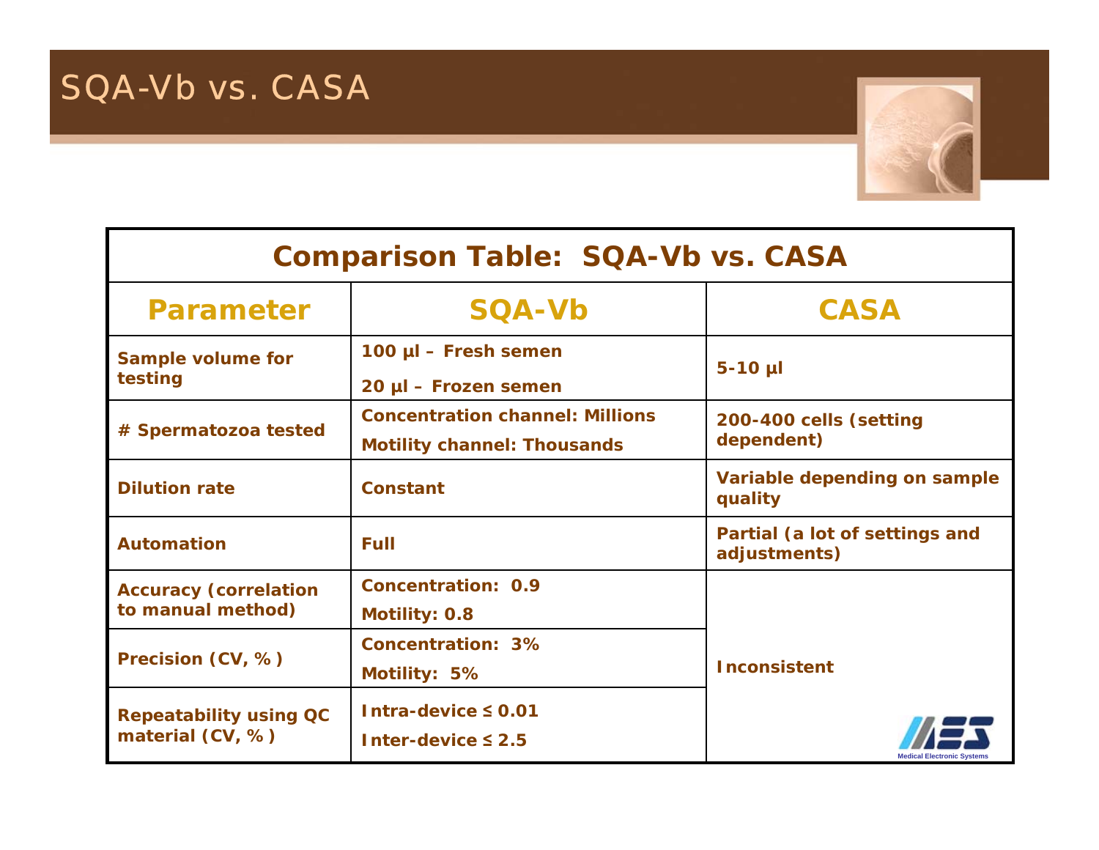

### **Comparison Table: SQA-Vb vs. CASA**

| <b>Parameter</b>                                  | <b>SQA-Vb</b>                                                                | <b>CASA</b>                                    |  |  |
|---------------------------------------------------|------------------------------------------------------------------------------|------------------------------------------------|--|--|
| <b>Sample volume for</b><br>testing               | 100 µl - Fresh semen<br>20 µl – Frozen semen                                 | $5-10$ µl                                      |  |  |
| # Spermatozoa tested                              | <b>Concentration channel: Millions</b><br><b>Motility channel: Thousands</b> | 200-400 cells (setting<br>dependent)           |  |  |
| <b>Dilution rate</b>                              | <b>Constant</b>                                                              | Variable depending on sample<br>quality        |  |  |
| <b>Automation</b>                                 | Full                                                                         | Partial (a lot of settings and<br>adjustments) |  |  |
| <b>Accuracy (correlation</b><br>to manual method) | <b>Concentration: 0.9</b><br><b>Motility: 0.8</b>                            |                                                |  |  |
| Precision (CV, %)                                 | <b>Concentration: 3%</b><br>Motility: 5%                                     | <b>Inconsistent</b>                            |  |  |
| <b>Repeatability using QC</b><br>material (CV, %) | Intra-device $\leq$ 0.01<br>Inter-device $\leq 2.5$                          | <b>Medical Electronic Systems</b>              |  |  |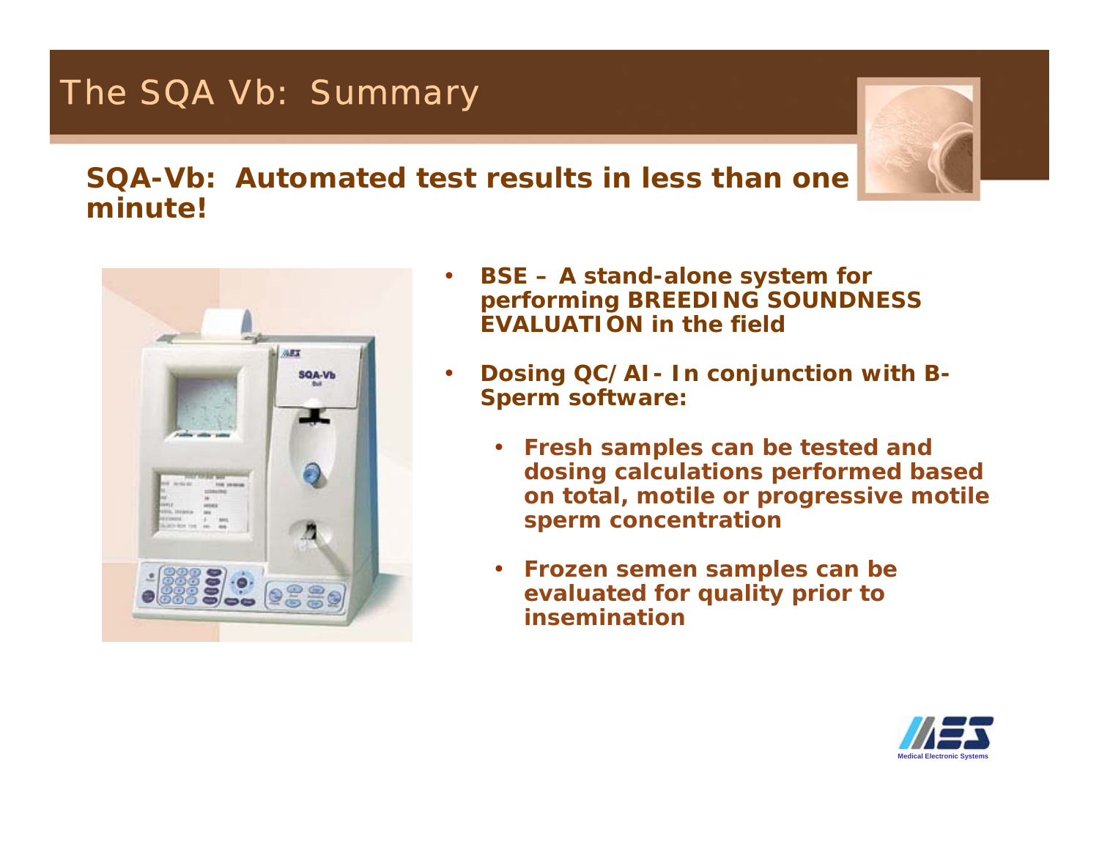## The SQA Vb: Summary



### **SQA-Vb: Automated test results in less than one minute!**

•



- • **BSE – A stand-alone system for performing BREEDING SOUNDNESS EVALUATION in the field**
- **Dosing QC/AI- In conjunction with B-Sperm software:**
	- **Fresh samples can be tested and dosing calculations performed based on total, motile or progressive motile sperm concentration**
	- • **Frozen semen samples can be evaluated for quality prior to insemination**